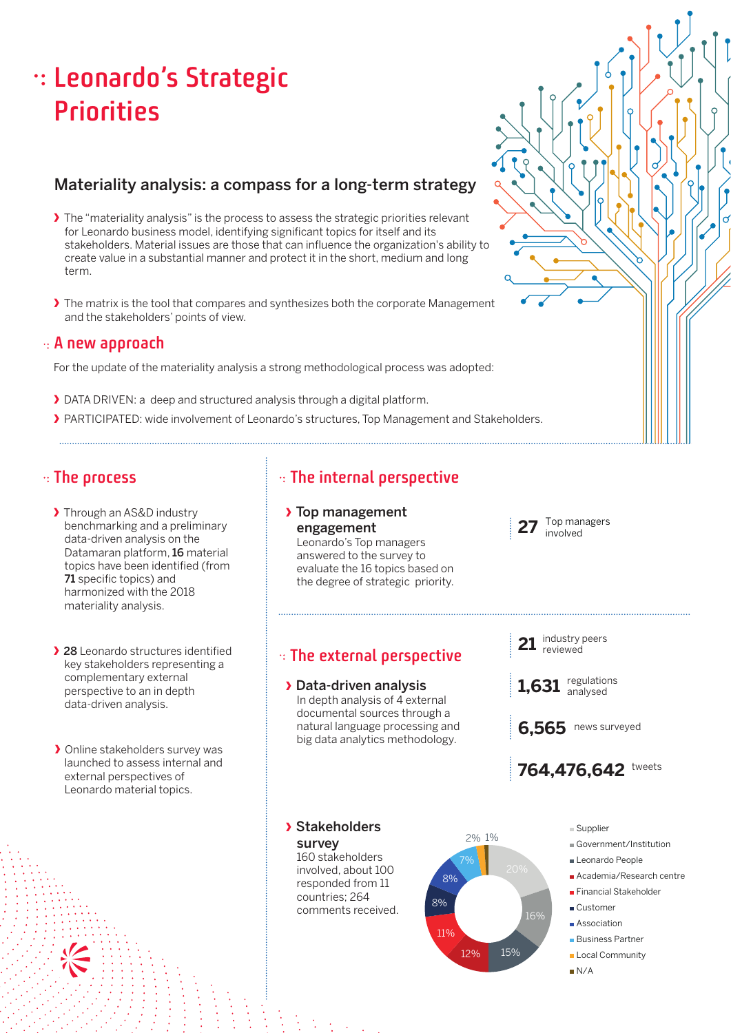# **Leonardo's Strategic Priorities**

# Materiality analysis: a compass for a long-term strategy

- **›** The "materiality analysis" is the process to assess the strategic priorities relevant for Leonardo business model, identifying significant topics for itself and its stakeholders. Material issues are those that can influence the organization's ability to create value in a substantial manner and protect it in the short, medium and long term.
- **›** The matrix is the tool that compares and synthesizes both the corporate Management and the stakeholders' points of view.

### **A new approach**

For the update of the materiality analysis a strong methodological process was adopted:

- **›** DATA DRIVEN: a deep and structured analysis through a digital platform.
- **›** PARTICIPATED: wide involvement of Leonardo's structures, Top Management and Stakeholders.

- **›** Through an AS&D industry benchmarking and a preliminary data-driven analysis on the Datamaran platform, 16 material topics have been identified (from 71 specific topics) and harmonized with the 2018 materiality analysis.
- **›** 28 Leonardo structures identified key stakeholders representing a complementary external perspective to an in depth data-driven analysis.
- **›** Online stakeholders survey was launched to assess internal and external perspectives of Leonardo material topics.

# **The process The internal perspective**

### **›** Top management engagement

Leonardo's Top managers answered to the survey to evaluate the 16 topics based on the degree of strategic priority.

# **The external perspective**

**›** Data-driven analysis In depth analysis of 4 external documental sources through a natural language processing and big data analytics methodology.

**›** Stakeholders survey 160 stakeholders involved, about 100

> responded from 11 countries; 264 comments received.



Supplier

764.476.642 tweets

regulations analysed

6.565 news surveyed

industry peers reviewed

**27** Top managers involved

**21**

**1,631**

- Government/Institution
- Leonardo People
- Academia/Research centre
- Financial Stakeholder
- Customer
- Association
- **Business Partner**
- **Local Community**
- N/A